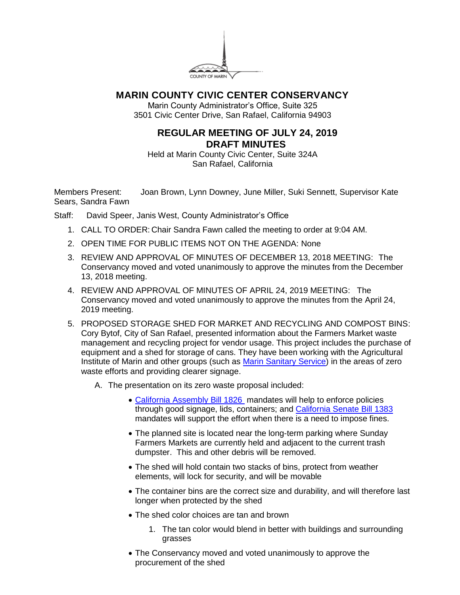

## **MARIN COUNTY CIVIC CENTER CONSERVANCY**

Marin County Administrator's Office, Suite 325 3501 Civic Center Drive, San Rafael, California 94903

## **REGULAR MEETING OF JULY 24, 2019 DRAFT MINUTES**

Held at Marin County Civic Center, Suite 324A San Rafael, California

Members Present: Joan Brown, Lynn Downey, June Miller, Suki Sennett, Supervisor Kate Sears, Sandra Fawn

Staff: David Speer, Janis West, County Administrator's Office

- 1. CALL TO ORDER: Chair Sandra Fawn called the meeting to order at 9:04 AM.
- 2. OPEN TIME FOR PUBLIC ITEMS NOT ON THE AGENDA: None
- 3. REVIEW AND APPROVAL OF MINUTES OF DECEMBER 13, 2018 MEETING: The Conservancy moved and voted unanimously to approve the minutes from the December 13, 2018 meeting.
- 4. REVIEW AND APPROVAL OF MINUTES OF APRIL 24, 2019 MEETING: The Conservancy moved and voted unanimously to approve the minutes from the April 24, 2019 meeting.
- 5. PROPOSED STORAGE SHED FOR MARKET AND RECYCLING AND COMPOST BINS: Cory Bytof, City of San Rafael, presented information about the Farmers Market waste management and recycling project for vendor usage. This project includes the purchase of equipment and a shed for storage of cans. They have been working with the Agricultural Institute of Marin and other groups (such as [Marin Sanitary Service\)](https://marinsanitaryservice.com/resources/where-does-it-go-joe/) in the areas of zero waste efforts and providing clearer signage.
	- A. The presentation on its zero waste proposal included:
		- [California Assembly Bill 1826](https://leginfo.legislature.ca.gov/faces/billTextClient.xhtml?bill_id=201320140AB1826) mandates will help to enforce policies through good signage, lids, containers; and [California Senate Bill 1383](https://leginfo.legislature.ca.gov/faces/billNavClient.xhtml?bill_id=201520160SB1383) mandates will support the effort when there is a need to impose fines.
		- The planned site is located near the long-term parking where Sunday Farmers Markets are currently held and adjacent to the current trash dumpster. This and other debris will be removed.
		- The shed will hold contain two stacks of bins, protect from weather elements, will lock for security, and will be movable
		- The container bins are the correct size and durability, and will therefore last longer when protected by the shed
		- The shed color choices are tan and brown
			- 1. The tan color would blend in better with buildings and surrounding grasses
		- The Conservancy moved and voted unanimously to approve the procurement of the shed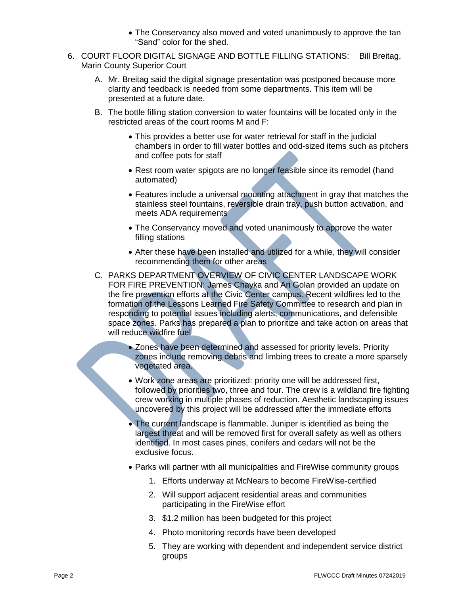- The Conservancy also moved and voted unanimously to approve the tan "Sand" color for the shed.
- 6. COURT FLOOR DIGITAL SIGNAGE AND BOTTLE FILLING STATIONS: Bill Breitag, Marin County Superior Court
	- A. Mr. Breitag said the digital signage presentation was postponed because more clarity and feedback is needed from some departments. This item will be presented at a future date.
	- B. The bottle filling station conversion to water fountains will be located only in the restricted areas of the court rooms M and F:
		- This provides a better use for water retrieval for staff in the judicial chambers in order to fill water bottles and odd-sized items such as pitchers and coffee pots for staff
		- Rest room water spigots are no longer feasible since its remodel (hand automated)
		- Features include a universal mounting attachment in gray that matches the stainless steel fountains, reversible drain tray, push button activation, and meets ADA requirements
		- The Conservancy moved and voted unanimously to approve the water filling stations
		- After these have been installed and utilized for a while, they will consider recommending them for other areas
	- C. PARKS DEPARTMENT OVERVIEW OF CIVIC CENTER LANDSCAPE WORK FOR FIRE PREVENTION: James Chayka and Ari Golan provided an update on the fire prevention efforts at the Civic Center campus. Recent wildfires led to the formation of the Lessons Learned Fire Safety Committee to research and plan in responding to potential issues including alerts, communications, and defensible space zones. Parks has prepared a plan to prioritize and take action on areas that will reduce wildfire fuel
		- Zones have been determined and assessed for priority levels. Priority zones include removing debris and limbing trees to create a more sparsely vegetated area.
		- Work zone areas are prioritized: priority one will be addressed first, followed by priorities two, three and four. The crew is a wildland fire fighting crew working in multiple phases of reduction. Aesthetic landscaping issues uncovered by this project will be addressed after the immediate efforts
		- The current landscape is flammable. Juniper is identified as being the largest threat and will be removed first for overall safety as well as others identified. In most cases pines, conifers and cedars will not be the exclusive focus.
		- Parks will partner with all municipalities and FireWise community groups
			- 1. Efforts underway at McNears to become FireWise-certified
			- 2. Will support adjacent residential areas and communities participating in the FireWise effort
			- 3. \$1.2 million has been budgeted for this project
			- 4. Photo monitoring records have been developed
			- 5. They are working with dependent and independent service district groups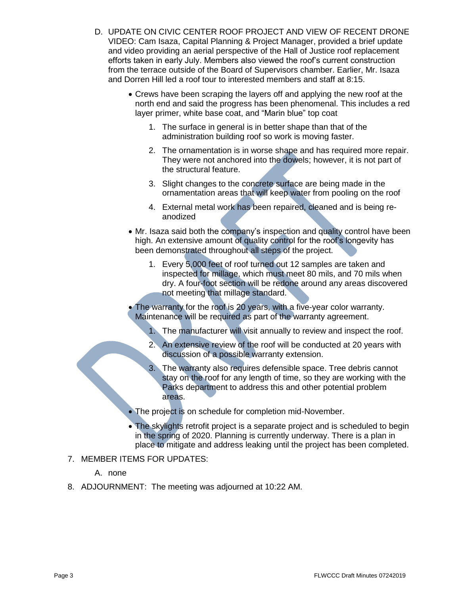- D. UPDATE ON CIVIC CENTER ROOF PROJECT AND VIEW OF RECENT DRONE VIDEO: Cam Isaza, Capital Planning & Project Manager, provided a brief update and video providing an aerial perspective of the Hall of Justice roof replacement efforts taken in early July. Members also viewed the roof's current construction from the terrace outside of the Board of Supervisors chamber. Earlier, Mr. Isaza and Dorren Hill led a roof tour to interested members and staff at 8:15.
	- Crews have been scraping the layers off and applying the new roof at the north end and said the progress has been phenomenal. This includes a red layer primer, white base coat, and "Marin blue" top coat
		- 1. The surface in general is in better shape than that of the administration building roof so work is moving faster.
		- 2. The ornamentation is in worse shape and has required more repair. They were not anchored into the dowels; however, it is not part of the structural feature.
		- 3. Slight changes to the concrete surface are being made in the ornamentation areas that will keep water from pooling on the roof
		- 4. External metal work has been repaired, cleaned and is being reanodized
	- Mr. Isaza said both the company's inspection and quality control have been high. An extensive amount of quality control for the roof's longevity has been demonstrated throughout all steps of the project.
		- 1. Every 5,000 feet of roof turned out 12 samples are taken and inspected for millage, which must meet 80 mils, and 70 mils when dry. A four-foot section will be redone around any areas discovered not meeting that millage standard.
	- The warranty for the roof is 20 years, with a five-year color warranty. Maintenance will be required as part of the warranty agreement.
		- 1. The manufacturer will visit annually to review and inspect the roof.
		- 2. An extensive review of the roof will be conducted at 20 years with discussion of a possible warranty extension.
		- 3. The warranty also requires defensible space. Tree debris cannot stay on the roof for any length of time, so they are working with the Parks department to address this and other potential problem areas.
	- The project is on schedule for completion mid-November.
	- The skylights retrofit project is a separate project and is scheduled to begin in the spring of 2020. Planning is currently underway. There is a plan in place to mitigate and address leaking until the project has been completed.
- 7. MEMBER ITEMS FOR UPDATES:
	- A. none
- 8. ADJOURNMENT: The meeting was adjourned at 10:22 AM.